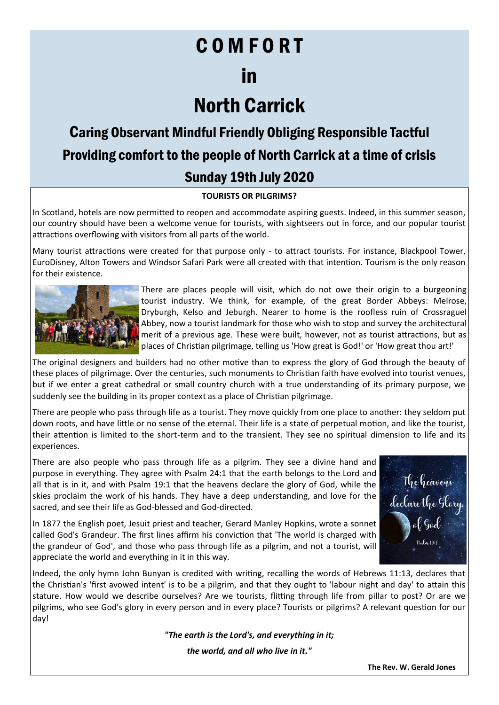# C O M F O R T

# in

# North Carrick

## Caring Observant Mindful Friendly Obliging Responsible Tactful Providing comfort to the people of North Carrick at a time of crisis Sunday 19th July 2020

### **TOURISTS OR PILGRIMS?**

In Scotland, hotels are now permitted to reopen and accommodate aspiring guests. Indeed, in this summer season, our country should have been a welcome venue for tourists, with sightseers out in force, and our popular tourist attractions overflowing with visitors from all parts of the world.

Many tourist attractions were created for that purpose only - to attract tourists. For instance, Blackpool Tower, EuroDisney, Alton Towers and Windsor Safari Park were all created with that intention. Tourism is the only reason for their existence.



There are places people will visit, which do not owe their origin to a burgeoning tourist industry. We think, for example, of the great Border Abbeys: Melrose, Dryburgh, Kelso and Jeburgh. Nearer to home is the roofless ruin of Crossraguel Abbey, now a tourist landmark for those who wish to stop and survey the architectural merit of a previous age. These were built, however, not as tourist attractions, but as places of Christian pilgrimage, telling us 'How great is God!' or 'How great thou art!'

The original designers and builders had no other motive than to express the glory of God through the beauty of these places of pilgrimage. Over the centuries, such monuments to Christian faith have evolved into tourist venues, but if we enter a great cathedral or small country church with a true understanding of its primary purpose, we suddenly see the building in its proper context as a place of Christian pilgrimage.

There are people who pass through life as a tourist. They move quickly from one place to another: they seldom put down roots, and have little or no sense of the eternal. Their life is a state of perpetual motion, and like the tourist, their attention is limited to the short-term and to the transient. They see no spiritual dimension to life and its experiences.

There are also people who pass through life as a pilgrim. They see a divine hand and purpose in everything. They agree with Psalm 24:1 that the earth belongs to the Lord and all that is in it, and with Psalm 19:1 that the heavens declare the glory of God, while the skies proclaim the work of his hands. They have a deep understanding, and love for the sacred, and see their life as God-blessed and God-directed.

The heavens<br>declare the Glory<br>Wol God

In 1877 the English poet, Jesuit priest and teacher, Gerard Manley Hopkins, wrote a sonnet called God's Grandeur. The first lines affirm his conviction that 'The world is charged with the grandeur of God', and those who pass through life as a pilgrim, and not a tourist, will appreciate the world and everything in it in this way.

Indeed, the only hymn John Bunyan is credited with writing, recalling the words of Hebrews 11:13, declares that the Christian's 'first avowed intent' is to be a pilgrim, and that they ought to 'labour night and day' to attain this stature. How would we describe ourselves? Are we tourists, flitting through life from pillar to post? Or are we pilgrims, who see God's glory in every person and in every place? Tourists or pilgrims? A relevant question for our day!

*"The earth is the Lord's, and everything in it;*

*the world, and all who live in it."*

**The Rev. W. Gerald Jones**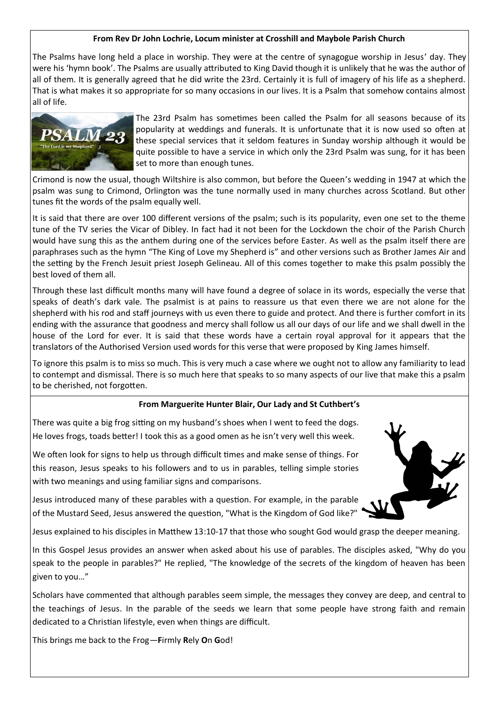### **From Rev Dr John Lochrie, Locum minister at Crosshill and Maybole Parish Church**

The Psalms have long held a place in worship. They were at the centre of synagogue worship in Jesus' day. They were his 'hymn book'. The Psalms are usually attributed to King David though it is unlikely that he was the author of all of them. It is generally agreed that he did write the 23rd. Certainly it is full of imagery of his life as a shepherd. That is what makes it so appropriate for so many occasions in our lives. It is a Psalm that somehow contains almost all of life.



The 23rd Psalm has sometimes been called the Psalm for all seasons because of its popularity at weddings and funerals. It is unfortunate that it is now used so often at these special services that it seldom features in Sunday worship although it would be quite possible to have a service in which only the 23rd Psalm was sung, for it has been set to more than enough tunes.

Crimond is now the usual, though Wiltshire is also common, but before the Queen's wedding in 1947 at which the psalm was sung to Crimond, Orlington was the tune normally used in many churches across Scotland. But other tunes fit the words of the psalm equally well.

It is said that there are over 100 different versions of the psalm; such is its popularity, even one set to the theme tune of the TV series the Vicar of Dibley. In fact had it not been for the Lockdown the choir of the Parish Church would have sung this as the anthem during one of the services before Easter. As well as the psalm itself there are paraphrases such as the hymn "The King of Love my Shepherd is" and other versions such as Brother James Air and the setting by the French Jesuit priest Joseph Gelineau. All of this comes together to make this psalm possibly the best loved of them all.

Through these last difficult months many will have found a degree of solace in its words, especially the verse that speaks of death's dark vale. The psalmist is at pains to reassure us that even there we are not alone for the shepherd with his rod and staff journeys with us even there to guide and protect. And there is further comfort in its ending with the assurance that goodness and mercy shall follow us all our days of our life and we shall dwell in the house of the Lord for ever. It is said that these words have a certain royal approval for it appears that the translators of the Authorised Version used words for this verse that were proposed by King James himself.

To ignore this psalm is to miss so much. This is very much a case where we ought not to allow any familiarity to lead to contempt and dismissal. There is so much here that speaks to so many aspects of our live that make this a psalm to be cherished, not forgotten.

### **From Marguerite Hunter Blair, Our Lady and St Cuthbert's**

There was quite a big frog sitting on my husband's shoes when I went to feed the dogs. He loves frogs, toads better! I took this as a good omen as he isn't very well this week.

We often look for signs to help us through difficult times and make sense of things. For this reason, Jesus speaks to his followers and to us in parables, telling simple stories with two meanings and using familiar signs and comparisons.

Jesus introduced many of these parables with a question. For example, in the parable of the Mustard Seed, Jesus answered the question, "What is the Kingdom of God like?"



In this Gospel Jesus provides an answer when asked about his use of parables. The disciples asked, "Why do you speak to the people in parables?" He replied, "The knowledge of the secrets of the kingdom of heaven has been given to you…"

Scholars have commented that although parables seem simple, the messages they convey are deep, and central to the teachings of Jesus. In the parable of the seeds we learn that some people have strong faith and remain dedicated to a Christian lifestyle, even when things are difficult.

This brings me back to the Frog—**F**irmly **R**ely **O**n **G**od!

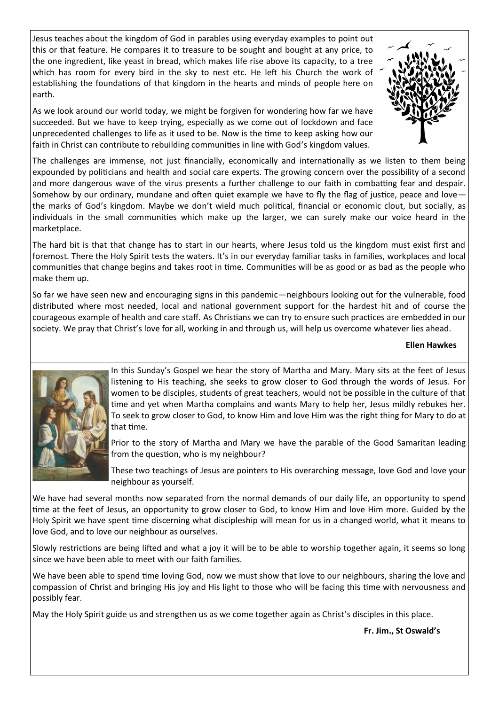Jesus teaches about the kingdom of God in parables using everyday examples to point out this or that feature. He compares it to treasure to be sought and bought at any price, to the one ingredient, like yeast in bread, which makes life rise above its capacity, to a tree which has room for every bird in the sky to nest etc. He left his Church the work of establishing the foundations of that kingdom in the hearts and minds of people here on earth.



As we look around our world today, we might be forgiven for wondering how far we have succeeded. But we have to keep trying, especially as we come out of lockdown and face unprecedented challenges to life as it used to be. Now is the time to keep asking how our faith in Christ can contribute to rebuilding communities in line with God's kingdom values.

The challenges are immense, not just financially, economically and internationally as we listen to them being expounded by politicians and health and social care experts. The growing concern over the possibility of a second and more dangerous wave of the virus presents a further challenge to our faith in combatting fear and despair. Somehow by our ordinary, mundane and often quiet example we have to fly the flag of justice, peace and love the marks of God's kingdom. Maybe we don't wield much political, financial or economic clout, but socially, as individuals in the small communities which make up the larger, we can surely make our voice heard in the marketplace.

The hard bit is that that change has to start in our hearts, where Jesus told us the kingdom must exist first and foremost. There the Holy Spirit tests the waters. It's in our everyday familiar tasks in families, workplaces and local communities that change begins and takes root in time. Communities will be as good or as bad as the people who make them up.

So far we have seen new and encouraging signs in this pandemic—neighbours looking out for the vulnerable, food distributed where most needed, local and national government support for the hardest hit and of course the courageous example of health and care staff. As Christians we can try to ensure such practices are embedded in our society. We pray that Christ's love for all, working in and through us, will help us overcome whatever lies ahead.

#### **Ellen Hawkes**



In this Sunday's Gospel we hear the story of Martha and Mary. Mary sits at the feet of Jesus listening to His teaching, she seeks to grow closer to God through the words of Jesus. For women to be disciples, students of great teachers, would not be possible in the culture of that time and yet when Martha complains and wants Mary to help her, Jesus mildly rebukes her. To seek to grow closer to God, to know Him and love Him was the right thing for Mary to do at that time.

Prior to the story of Martha and Mary we have the parable of the Good Samaritan leading from the question, who is my neighbour?

These two teachings of Jesus are pointers to His overarching message, love God and love your neighbour as yourself.

We have had several months now separated from the normal demands of our daily life, an opportunity to spend time at the feet of Jesus, an opportunity to grow closer to God, to know Him and love Him more. Guided by the Holy Spirit we have spent time discerning what discipleship will mean for us in a changed world, what it means to love God, and to love our neighbour as ourselves.

Slowly restrictions are being lifted and what a joy it will be to be able to worship together again, it seems so long since we have been able to meet with our faith families.

We have been able to spend time loving God, now we must show that love to our neighbours, sharing the love and compassion of Christ and bringing His joy and His light to those who will be facing this time with nervousness and possibly fear.

May the Holy Spirit guide us and strengthen us as we come together again as Christ's disciples in this place.

**Fr. Jim., St Oswald's**